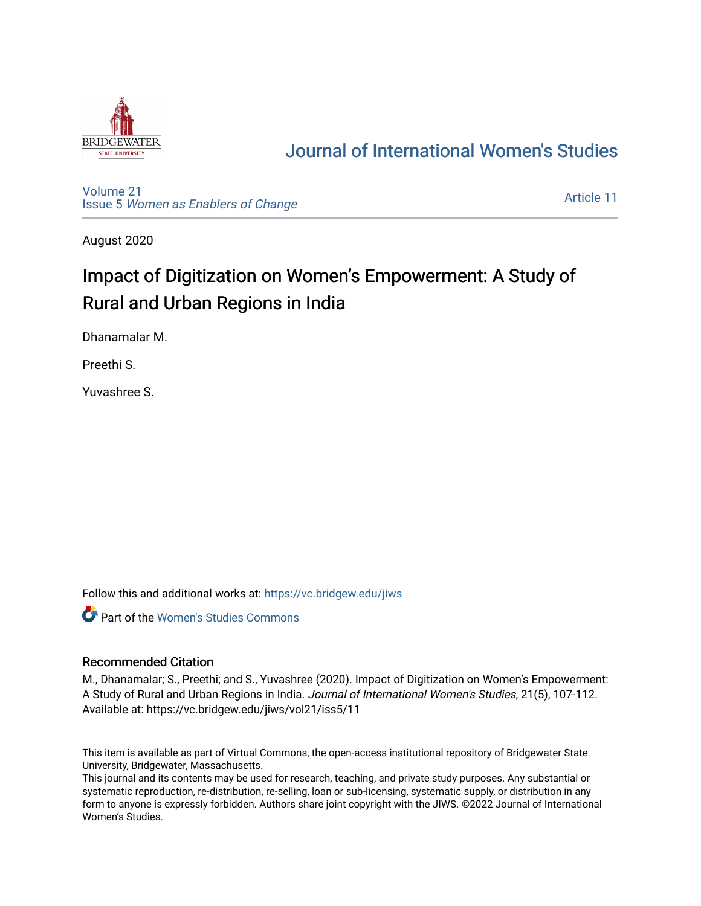

## [Journal of International Women's Studies](https://vc.bridgew.edu/jiws)

[Volume 21](https://vc.bridgew.edu/jiws/vol21) Issue 5 [Women as Enablers of Change](https://vc.bridgew.edu/jiws/vol21/iss5) 

[Article 11](https://vc.bridgew.edu/jiws/vol21/iss5/11) 

August 2020

# Impact of Digitization on Women's Empowerment: A Study of Rural and Urban Regions in India

Dhanamalar M.

Preethi S.

Yuvashree S.

Follow this and additional works at: [https://vc.bridgew.edu/jiws](https://vc.bridgew.edu/jiws?utm_source=vc.bridgew.edu%2Fjiws%2Fvol21%2Fiss5%2F11&utm_medium=PDF&utm_campaign=PDFCoverPages)

**C** Part of the Women's Studies Commons

## Recommended Citation

M., Dhanamalar; S., Preethi; and S., Yuvashree (2020). Impact of Digitization on Women's Empowerment: A Study of Rural and Urban Regions in India. Journal of International Women's Studies, 21(5), 107-112. Available at: https://vc.bridgew.edu/jiws/vol21/iss5/11

This item is available as part of Virtual Commons, the open-access institutional repository of Bridgewater State University, Bridgewater, Massachusetts.

This journal and its contents may be used for research, teaching, and private study purposes. Any substantial or systematic reproduction, re-distribution, re-selling, loan or sub-licensing, systematic supply, or distribution in any form to anyone is expressly forbidden. Authors share joint copyright with the JIWS. ©2022 Journal of International Women's Studies.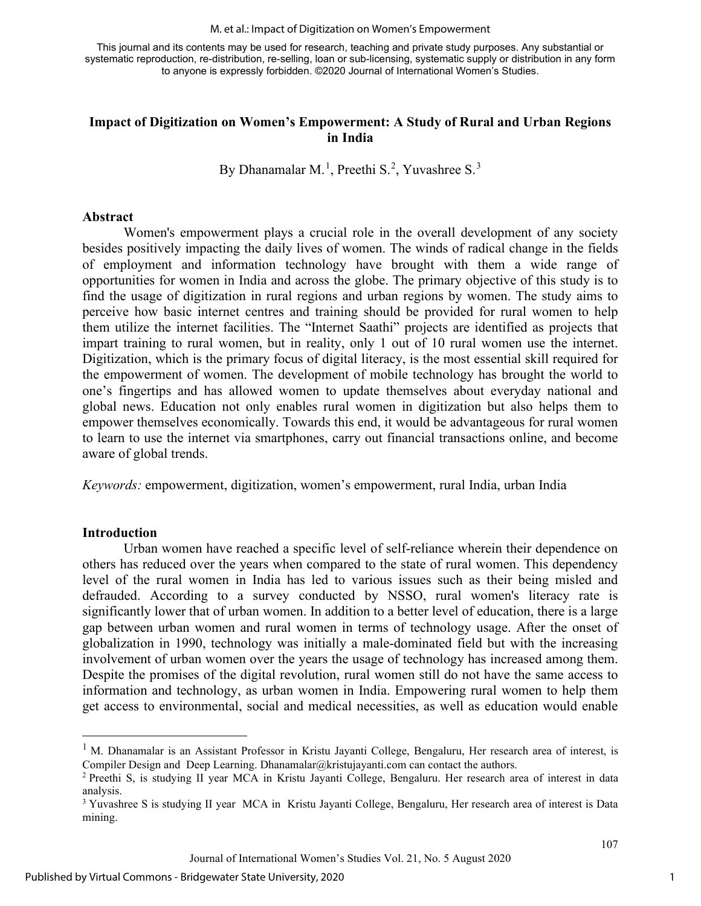#### M. et al.: Impact of Digitization on Women's Empowerment

This journal and its contents may be used for research, teaching and private study purposes. Any substantial or systematic reproduction, re-distribution, re-selling, loan or sub-licensing, systematic supply or distribution in any form to anyone is expressly forbidden. ©2020 Journal of International Women's Studies.

## **Impact of Digitization on Women's Empowerment: A Study of Rural and Urban Regions in India**

By Dhanamalar M.<sup>[1](#page-1-0)</sup>, Preethi S.<sup>[2](#page-1-1)</sup>, Yuvashree S.<sup>[3](#page-1-2)</sup>

#### **Abstract**

Women's empowerment plays a crucial role in the overall development of any society besides positively impacting the daily lives of women. The winds of radical change in the fields of employment and information technology have brought with them a wide range of opportunities for women in India and across the globe. The primary objective of this study is to find the usage of digitization in rural regions and urban regions by women. The study aims to perceive how basic internet centres and training should be provided for rural women to help them utilize the internet facilities. The "Internet Saathi" projects are identified as projects that impart training to rural women, but in reality, only 1 out of 10 rural women use the internet. Digitization, which is the primary focus of digital literacy, is the most essential skill required for the empowerment of women. The development of mobile technology has brought the world to one's fingertips and has allowed women to update themselves about everyday national and global news. Education not only enables rural women in digitization but also helps them to empower themselves economically. Towards this end, it would be advantageous for rural women to learn to use the internet via smartphones, carry out financial transactions online, and become aware of global trends.

*Keywords:* empowerment, digitization, women's empowerment, rural India, urban India

#### **Introduction**

Urban women have reached a specific level of self-reliance wherein their dependence on others has reduced over the years when compared to the state of rural women. This dependency level of the rural women in India has led to various issues such as their being misled and defrauded. According to a survey conducted by NSSO, rural women's literacy rate is significantly lower that of urban women. In addition to a better level of education, there is a large gap between urban women and rural women in terms of technology usage. After the onset of globalization in 1990, technology was initially a male-dominated field but with the increasing involvement of urban women over the years the usage of technology has increased among them. Despite the promises of the digital revolution, rural women still do not have the same access to information and technology, as urban women in India. Empowering rural women to help them get access to environmental, social and medical necessities, as well as education would enable

<span id="page-1-0"></span><sup>&</sup>lt;sup>1</sup> M. Dhanamalar is an Assistant Professor in Kristu Jayanti College, Bengaluru, Her research area of interest, is Compiler Design and Deep Learning. Dhanamalar $@k$ ristujayanti.com can contact the authors.

<span id="page-1-1"></span><sup>2</sup> Preethi S, is studying II year MCA in Kristu Jayanti College, Bengaluru. Her research area of interest in data analysis.

<span id="page-1-2"></span><sup>&</sup>lt;sup>3</sup> Yuvashree S is studying II year MCA in Kristu Jayanti College, Bengaluru, Her research area of interest is Data mining.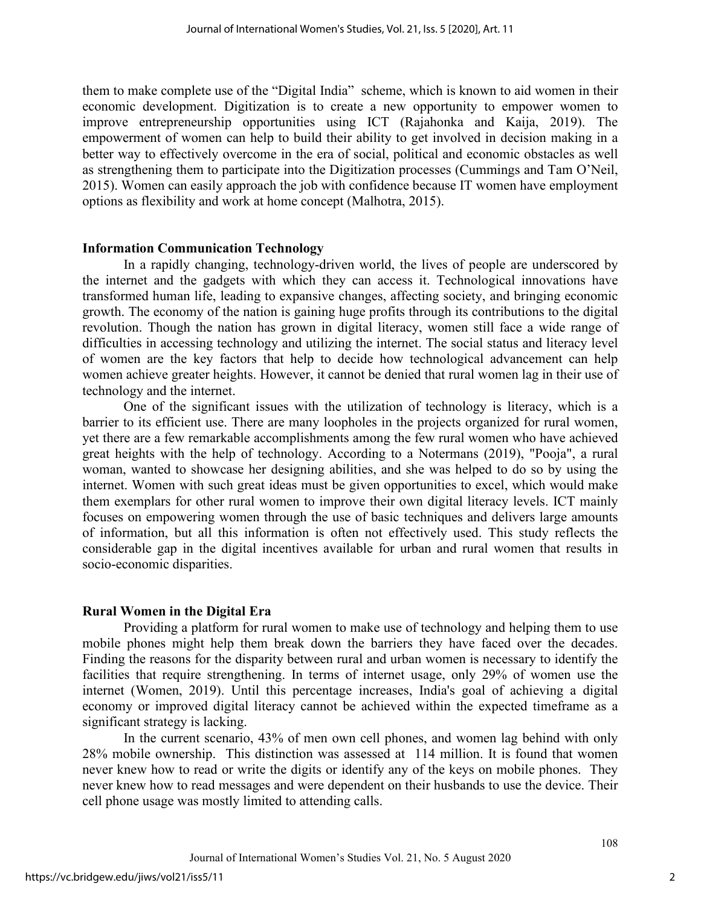them to make complete use of the "Digital India" scheme, which is known to aid women in their economic development. Digitization is to create a new opportunity to empower women to improve entrepreneurship opportunities using ICT (Rajahonka and Kaija, 2019). The empowerment of women can help to build their ability to get involved in decision making in a better way to effectively overcome in the era of social, political and economic obstacles as well as strengthening them to participate into the Digitization processes (Cummings and Tam O'Neil, 2015). Women can easily approach the job with confidence because IT women have employment options as flexibility and work at home concept (Malhotra, 2015).

#### **Information Communication Technology**

In a rapidly changing, technology-driven world, the lives of people are underscored by the internet and the gadgets with which they can access it. Technological innovations have transformed human life, leading to expansive changes, affecting society, and bringing economic growth. The economy of the nation is gaining huge profits through its contributions to the digital revolution. Though the nation has grown in digital literacy, women still face a wide range of difficulties in accessing technology and utilizing the internet. The social status and literacy level of women are the key factors that help to decide how technological advancement can help women achieve greater heights. However, it cannot be denied that rural women lag in their use of technology and the internet.

One of the significant issues with the utilization of technology is literacy, which is a barrier to its efficient use. There are many loopholes in the projects organized for rural women, yet there are a few remarkable accomplishments among the few rural women who have achieved great heights with the help of technology. According to a [Notermans](https://sciprofiles.com/profile/155004) (2019), "Pooja", a rural woman, wanted to showcase her designing abilities, and she was helped to do so by using the internet. Women with such great ideas must be given opportunities to excel, which would make them exemplars for other rural women to improve their own digital literacy levels. ICT mainly focuses on empowering women through the use of basic techniques and delivers large amounts of information, but all this information is often not effectively used. This study reflects the considerable gap in the digital incentives available for urban and rural women that results in socio-economic disparities.

## **Rural Women in the Digital Era**

Providing a platform for rural women to make use of technology and helping them to use mobile phones might help them break down the barriers they have faced over the decades. Finding the reasons for the disparity between rural and urban women is necessary to identify the facilities that require strengthening. In terms of internet usage, only 29% of women use the internet (Women, 2019). Until this percentage increases, India's goal of achieving a digital economy or improved digital literacy cannot be achieved within the expected timeframe as a significant strategy is lacking.

In the current scenario, 43% of men own cell phones, and women lag behind with only 28% mobile ownership. This distinction was assessed at 114 million. It is found that women never knew how to read or write the digits or identify any of the keys on mobile phones. They never knew how to read messages and were dependent on their husbands to use the device. Their cell phone usage was mostly limited to attending calls.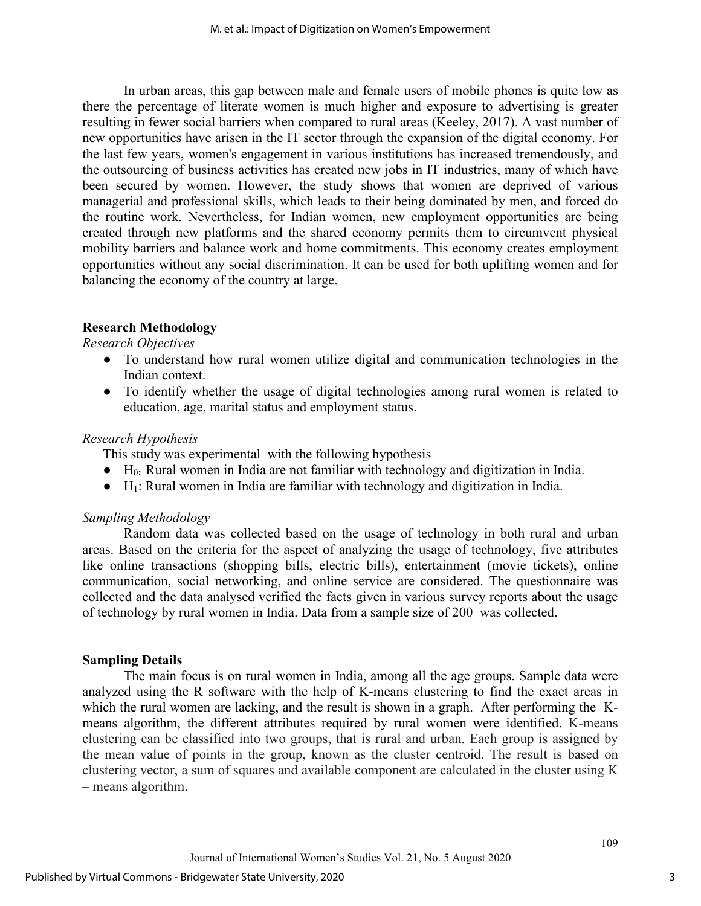In urban areas, this gap between male and female users of mobile phones is quite low as there the percentage of literate women is much higher and exposure to advertising is greater resulting in fewer social barriers when compared to rural areas (Keeley, 2017). A vast number of new opportunities have arisen in the IT sector through the expansion of the digital economy. For the last few years, women's engagement in various institutions has increased tremendously, and the outsourcing of business activities has created new jobs in IT industries, many of which have been secured by women. However, the study shows that women are deprived of various managerial and professional skills, which leads to their being dominated by men, and forced do the routine work. Nevertheless, for Indian women, new employment opportunities are being created through new platforms and the shared economy permits them to circumvent physical mobility barriers and balance work and home commitments. This economy creates employment opportunities without any social discrimination. It can be used for both uplifting women and for balancing the economy of the country at large.

## **Research Methodology**

## *Research Objectives*

- To understand how rural women utilize digital and communication technologies in the Indian context.
- To identify whether the usage of digital technologies among rural women is related to education, age, marital status and employment status.

## *Research Hypothesis*

This study was experimental with the following hypothesis

- H0**:** Rural women in India are not familiar with technology and digitization in India.
- $\bullet$  H<sub>1</sub>: Rural women in India are familiar with technology and digitization in India.

## *Sampling Methodology*

Random data was collected based on the usage of technology in both rural and urban areas. Based on the criteria for the aspect of analyzing the usage of technology, five attributes like online transactions (shopping bills, electric bills), entertainment (movie tickets), online communication, social networking, and online service are considered. The questionnaire was collected and the data analysed verified the facts given in various survey reports about the usage of technology by rural women in India. Data from a sample size of 200 was collected.

## **Sampling Details**

The main focus is on rural women in India, among all the age groups. Sample data were analyzed using the R software with the help of K-means clustering to find the exact areas in which the rural women are lacking, and the result is shown in a graph. After performing the Kmeans algorithm, the different attributes required by rural women were identified. K-means clustering can be classified into two groups, that is rural and urban. Each group is assigned by the mean value of points in the group, known as the cluster centroid. The result is based on clustering vector, a sum of squares and available component are calculated in the cluster using K – means algorithm.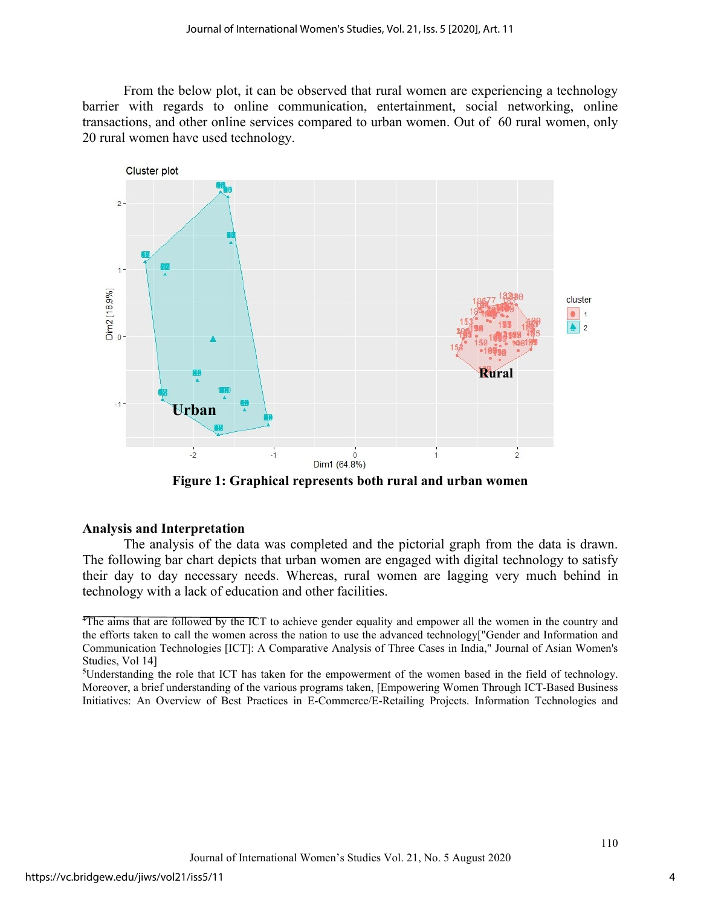From the below plot, it can be observed that rural women are experiencing a technology barrier with regards to online communication, entertainment, social networking, online transactions, and other online services compared to urban women. Out of 60 rural women, only 20 rural women have used technology.



**Figure 1: Graphical represents both rural and urban women**

#### **Analysis and Interpretation**

The analysis of the data was completed and the pictorial graph from the data is drawn. The following bar chart depicts that urban women are engaged with digital technology to satisfy their day to day necessary needs. Whereas, rural women are lagging very much behind in technology with a lack of education and other facilities.

**<sup>4</sup>** The aims that are followed by the ICT to achieve gender equality and empower all the women in the country and the efforts taken to call the women across the nation to use the advanced technology["Gender and Information and Communication Technologies [ICT]: A Comparative Analysis of Three Cases in India," Journal of Asian Women's Studies, Vol 14]

**<sup>5</sup>** Understanding the role that ICT has taken for the empowerment of the women based in the field of technology. Moreover, a brief understanding of the various programs taken, [Empowering Women Through ICT-Based Business Initiatives: An Overview of Best Practices in E-Commerce/E-Retailing Projects. Information Technologies and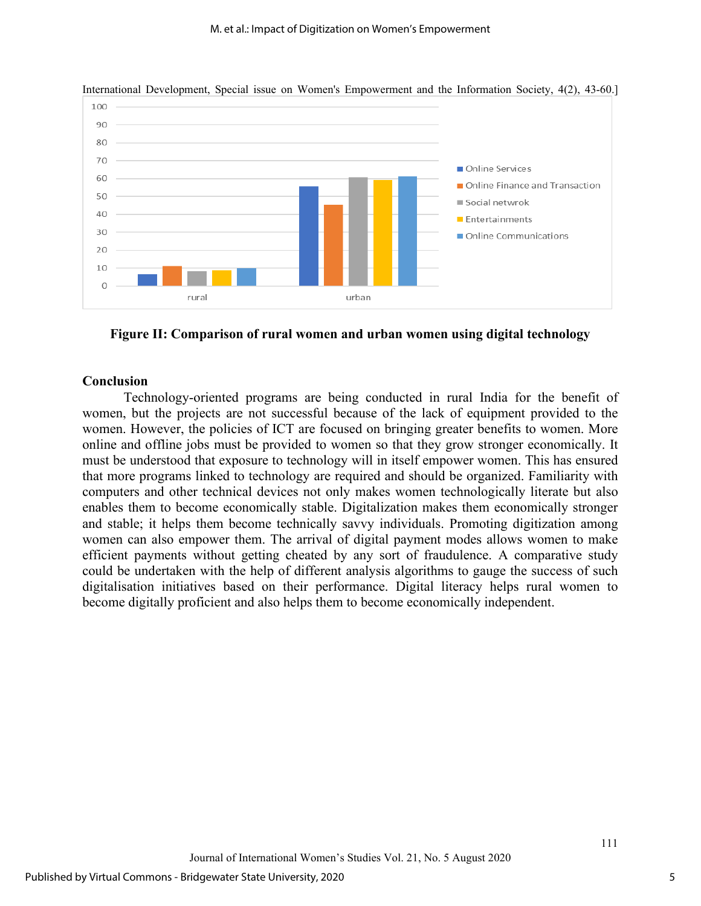

International Development, Special issue on Women's Empowerment and the Information Society, 4(2), 43-60.]

**Figure II: Comparison of rural women and urban women using digital technology** 

#### **Conclusion**

Technology-oriented programs are being conducted in rural India for the benefit of women, but the projects are not successful because of the lack of equipment provided to the women. However, the policies of ICT are focused on bringing greater benefits to women. More online and offline jobs must be provided to women so that they grow stronger economically. It must be understood that exposure to technology will in itself empower women. This has ensured that more programs linked to technology are required and should be organized. Familiarity with computers and other technical devices not only makes women technologically literate but also enables them to become economically stable. Digitalization makes them economically stronger and stable; it helps them become technically savvy individuals. Promoting digitization among women can also empower them. The arrival of digital payment modes allows women to make efficient payments without getting cheated by any sort of fraudulence. A comparative study could be undertaken with the help of different analysis algorithms to gauge the success of such digitalisation initiatives based on their performance. Digital literacy helps rural women to become digitally proficient and also helps them to become economically independent.